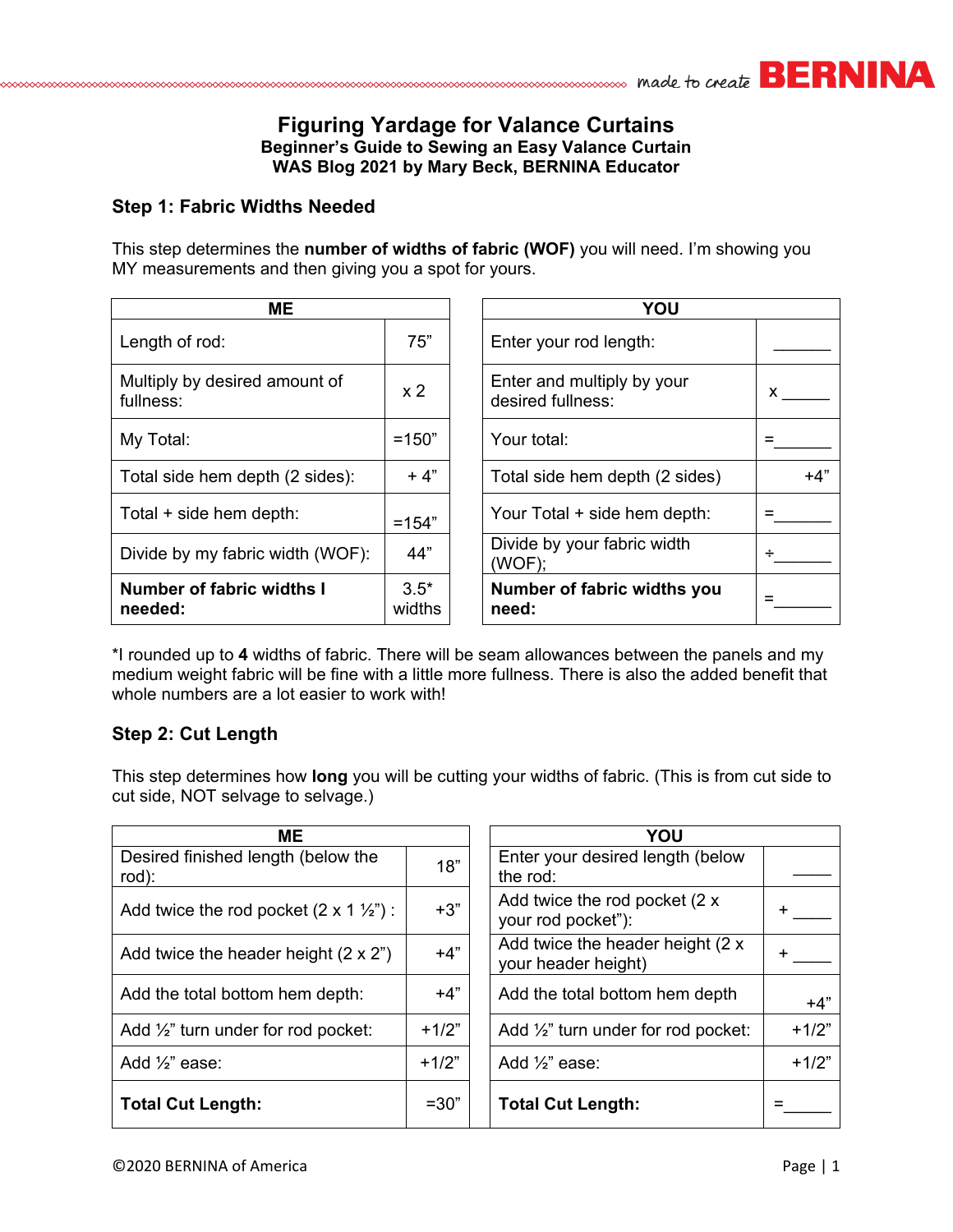

# **Figuring Yardage for Valance Curtains Beginner's Guide to Sewing an Easy Valance Curtain WAS Blog 2021 by Mary Beck, BERNINA Educator**

#### **Step 1: Fabric Widths Needed**

This step determines the **number of widths of fabric (WOF)** you will need. I'm showing you MY measurements and then giving you a spot for yours.

| ME.                                        | YOU              |                                                 |
|--------------------------------------------|------------------|-------------------------------------------------|
| Length of rod:                             | 75"              | Enter your rod length:                          |
| Multiply by desired amount of<br>fullness: | x <sub>2</sub>   | Enter and multiply by your<br>desired fullness: |
| My Total:                                  | $=150"$          | Your total:                                     |
| Total side hem depth (2 sides):            | $+4"$            | Total side hem depth (2 sid                     |
| Total + side hem depth:                    | $=154"$          | Your Total + side hem dept                      |
| Divide by my fabric width (WOF):           | 44"              | Divide by your fabric width<br>(WOF);           |
| Number of fabric widths I<br>needed:       | $3.5*$<br>widths | <b>Number of fabric widths \</b><br>need:       |

| <b>ME</b>                                  |                  |  | YOU                                             |       |  |
|--------------------------------------------|------------------|--|-------------------------------------------------|-------|--|
| Length of rod:                             | 75"              |  | Enter your rod length:                          |       |  |
| Multiply by desired amount of<br>fullness: | x <sub>2</sub>   |  | Enter and multiply by your<br>desired fullness: | x.    |  |
| My Total:                                  | $=150"$          |  | Your total:                                     |       |  |
| Total side hem depth (2 sides):            | $+4"$            |  | Total side hem depth (2 sides)                  | $+4"$ |  |
| Total + side hem depth:                    | $=154"$          |  | Your Total + side hem depth:                    |       |  |
| Divide by my fabric width (WOF):           | 44"              |  | Divide by your fabric width<br>(WOF);           |       |  |
| Number of fabric widths I<br>needed:       | $3.5*$<br>widths |  | Number of fabric widths you<br>need:            |       |  |

\*I rounded up to **4** widths of fabric. There will be seam allowances between the panels and my medium weight fabric will be fine with a little more fullness. There is also the added benefit that whole numbers are a lot easier to work with!

## **Step 2: Cut Length**

This step determines how **long** you will be cutting your widths of fabric. (This is from cut side to cut side, NOT selvage to selvage.)

| ME.                                                   |         | YOU                                                       |  |  |
|-------------------------------------------------------|---------|-----------------------------------------------------------|--|--|
| Desired finished length (below the<br>rod):           | 18"     | Enter your desired length (below<br>the rod:              |  |  |
| Add twice the rod pocket $(2 \times 1 \frac{1}{2})$ : | $+3"$   | Add twice the rod pocket $(2 x)$<br>your rod pocket"):    |  |  |
| Add twice the header height $(2 \times 2^n)$          | $+4"$   | Add twice the header height (2 x<br>your header height)   |  |  |
| Add the total bottom hem depth:                       | $+4"$   | Add the total bottom hem depth<br>$+4"$                   |  |  |
| Add $\frac{1}{2}$ " turn under for rod pocket:        | $+1/2"$ | $+1/2"$<br>Add $\frac{1}{2}$ " turn under for rod pocket: |  |  |
| Add $\frac{1}{2}$ " ease:                             | $+1/2"$ | $+1/2"$<br>Add $\frac{1}{2}$ " ease:                      |  |  |
| <b>Total Cut Length:</b>                              | $=30"$  | <b>Total Cut Length:</b>                                  |  |  |